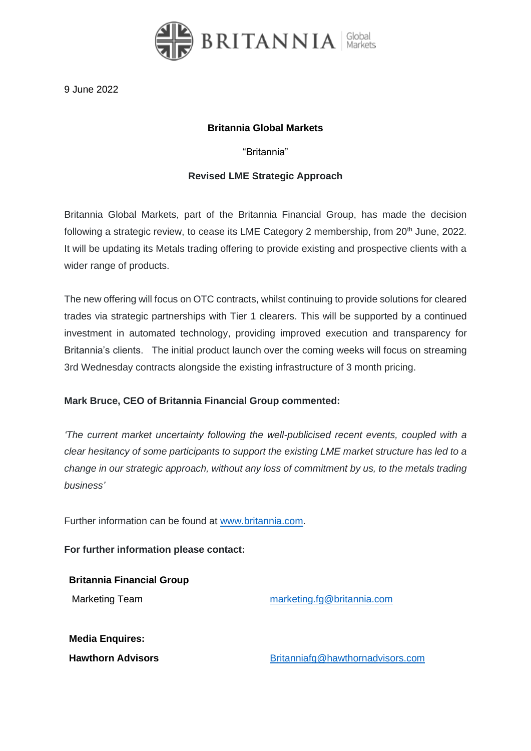

9 June 2022

# **Britannia Global Markets**

"Britannia"

### **Revised LME Strategic Approach**

Britannia Global Markets, part of the Britannia Financial Group, has made the decision following a strategic review, to cease its LME Category 2 membership, from 20<sup>th</sup> June, 2022. It will be updating its Metals trading offering to provide existing and prospective clients with a wider range of products.

The new offering will focus on OTC contracts, whilst continuing to provide solutions for cleared trades via strategic partnerships with Tier 1 clearers. This will be supported by a continued investment in automated technology, providing improved execution and transparency for Britannia's clients. The initial product launch over the coming weeks will focus on streaming 3rd Wednesday contracts alongside the existing infrastructure of 3 month pricing.

## **Mark Bruce, CEO of Britannia Financial Group commented:**

*'The current market uncertainty following the well-publicised recent events, coupled with a clear hesitancy of some participants to support the existing LME market structure has led to a change in our strategic approach, without any loss of commitment by us, to the metals trading business'*

Further information can be found at [www.britannia.com.](http://www.britannia.com/)

**For further information please contact:**

**Britannia Financial Group** Marketing Team [marketing.fg@britannia.com](mailto:marketing.fg@britannia.com) **Media Enquires: Hawthorn Advisors [Britanniafg@hawthornadvisors.com](mailto:Britanniafg@hawthornadvisors.com)**